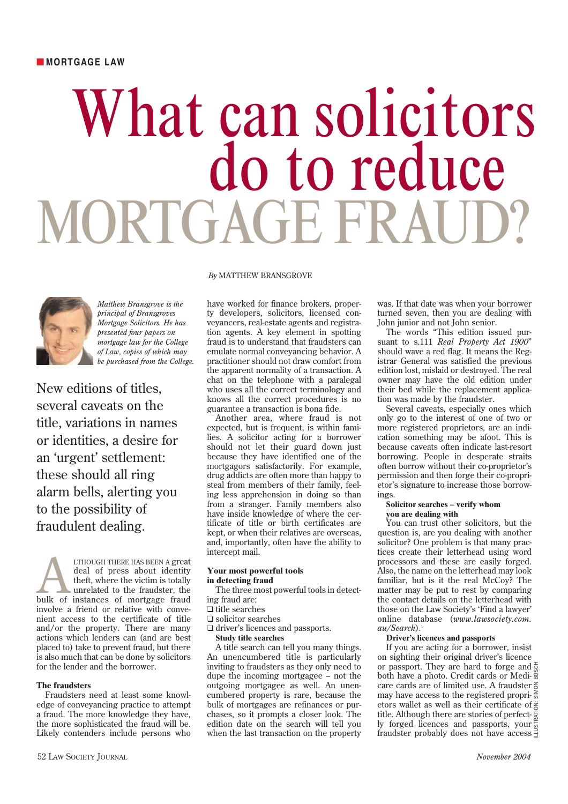# ■ **MORTGAGE LAW**

# What can solicitors lo to reduce **MORTGAGE FRAU**

### *By* MATTHEW BRANSGROVE



*Matthew Bransgrove is the principal of Bransgroves Mortgage Solicitors. He has presented four papers on mortgage law for the College of Law, copies of which may be purchased from the College.*

New editions of titles, several caveats on the title, variations in names or identities, a desire for an 'urgent' settlement: these should all ring alarm bells, alerting you to the possibility of fraudulent dealing.

ETHOUGH THERE HAS BEEN A great<br>deal of press about identity<br>theft, where the victim is totally<br>unrelated to the fraudster, the<br>bulk of instances of mortgage fraud deal of press about identity theft, where the victim is totally unrelated to the fraudster, the involve a friend or relative with convenient access to the certificate of title and/or the property. There are many actions which lenders can (and are best placed to) take to prevent fraud, but there is also much that can be done by solicitors for the lender and the borrower.

#### **The fraudsters**

Fraudsters need at least some knowledge of conveyancing practice to attempt a fraud. The more knowledge they have, the more sophisticated the fraud will be. Likely contenders include persons who

have worked for finance brokers, property developers, solicitors, licensed conveyancers, real-estate agents and registration agents. A key element in spotting fraud is to understand that fraudsters can emulate normal conveyancing behavior. A practitioner should not draw comfort from the apparent normality of a transaction. A chat on the telephone with a paralegal who uses all the correct terminology and knows all the correct procedures is no guarantee a transaction is bona fide.

Another area, where fraud is not expected, but is frequent, is within families. A solicitor acting for a borrower should not let their guard down just because they have identified one of the mortgagors satisfactorily. For example, drug addicts are often more than happy to steal from members of their family, feeling less apprehension in doing so than from a stranger. Family members also have inside knowledge of where the certificate of title or birth certificates are kept, or when their relatives are overseas, and, importantly, often have the ability to intercept mail.

#### **Your most powerful tools in detecting fraud**

The three most powerful tools in detecting fraud are:

#### ❑ title searches

- ❑ solicitor searches
- ❑ driver's licences and passports.

#### **Study title searches**

A title search can tell you many things. An unencumbered title is particularly inviting to fraudsters as they only need to dupe the incoming mortgagee – not the outgoing mortgagee as well. An unencumbered property is rare, because the bulk of mortgages are refinances or purchases, so it prompts a closer look. The edition date on the search will tell you when the last transaction on the property

was. If that date was when your borrower turned seven, then you are dealing with John junior and not John senior.

The words "This edition issued pursuant to s.111 *Real Property Act 1900*" should wave a red flag. It means the Registrar General was satisfied the previous edition lost, mislaid or destroyed. The real owner may have the old edition under their bed while the replacement application was made by the fraudster.

Several caveats, especially ones which only go to the interest of one of two or more registered proprietors, are an indication something may be afoot. This is because caveats often indicate last-resort borrowing. People in desperate straits often borrow without their co-proprietor's permission and then forge their co-proprietor's signature to increase those borrowings.

#### **Solicitor searches – verify whom you are dealing with**

You can trust other solicitors, but the question is, are you dealing with another solicitor? One problem is that many practices create their letterhead using word processors and these are easily forged. Also, the name on the letterhead may look familiar, but is it the real McCoy? The matter may be put to rest by comparing the contact details on the letterhead with those on the Law Society's 'Find a lawyer' online database (*www.lawsociety.com. au/Search*).1

#### **Driver's licences and passports**

If you are acting for a borrower, insist on sighting their original driver's licence or passport. They are hard to forge and both have a photo. Credit cards or Medicare cards are of limited use. A fraudster may have access to the registered proprietors wallet as well as their certificate of  $\ddot{\tilde{z}}$ title. Although there are stories of perfectly forged licences and passports, your fraudster probably does not have access ILLUSTRATION: SIMON BOSCH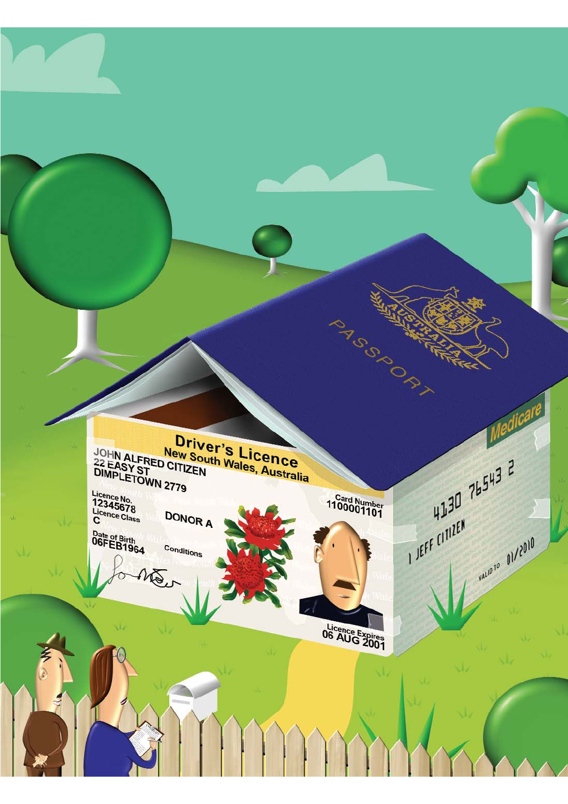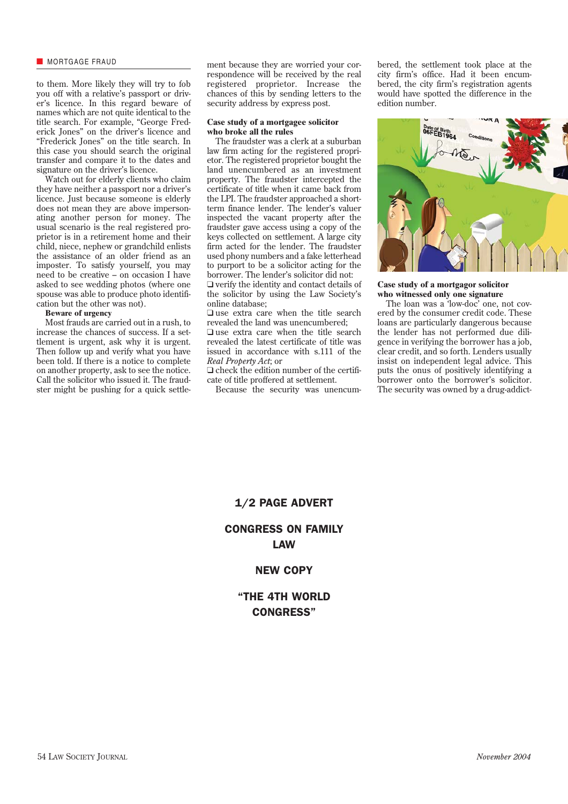to them. More likely they will try to fob you off with a relative's passport or driver's licence. In this regard beware of names which are not quite identical to the title search. For example, "George Frederick Jones" on the driver's licence and "Frederick Jones" on the title search. In this case you should search the original transfer and compare it to the dates and signature on the driver's licence.

Watch out for elderly clients who claim they have neither a passport nor a driver's licence. Just because someone is elderly does not mean they are above impersonating another person for money. The usual scenario is the real registered proprietor is in a retirement home and their child, niece, nephew or grandchild enlists the assistance of an older friend as an imposter. To satisfy yourself, you may need to be creative – on occasion I have asked to see wedding photos (where one spouse was able to produce photo identification but the other was not).

## **Beware of urgency**

Most frauds are carried out in a rush, to increase the chances of success. If a settlement is urgent, ask why it is urgent. Then follow up and verify what you have been told. If there is a notice to complete on another property, ask to see the notice. Call the solicitor who issued it. The fraudster might be pushing for a quick settlement because they are worried your correspondence will be received by the real registered proprietor. Increase the chances of this by sending letters to the security address by express post.

#### **Case study of a mortgagee solicitor who broke all the rules**

The fraudster was a clerk at a suburban law firm acting for the registered proprietor. The registered proprietor bought the land unencumbered as an investment property. The fraudster intercepted the certificate of title when it came back from the LPI. The fraudster approached a shortterm finance lender. The lender's valuer inspected the vacant property after the fraudster gave access using a copy of the keys collected on settlement. A large city firm acted for the lender. The fraudster used phony numbers and a fake letterhead to purport to be a solicitor acting for the borrower. The lender's solicitor did not:

❑ verify the identity and contact details of the solicitor by using the Law Society's online database;

❑ use extra care when the title search revealed the land was unencumbered;

❑ use extra care when the title search revealed the latest certificate of title was issued in accordance with s.111 of the *Real Property Act*; or

❑ check the edition number of the certificate of title proffered at settlement.

Because the security was unencum-

bered, the settlement took place at the city firm's office. Had it been encumbered, the city firm's registration agents would have spotted the difference in the edition number.



#### **Case study of a mortgagor solicitor who witnessed only one signature**

The loan was a 'low-doc' one, not covered by the consumer credit code. These loans are particularly dangerous because the lender has not performed due diligence in verifying the borrower has a job, clear credit, and so forth. Lenders usually insist on independent legal advice. This puts the onus of positively identifying a borrower onto the borrower's solicitor. The security was owned by a drug-addict-

# 1/2 PAGE ADVERT

# CONGRESS ON FAMILY LAW

## NEW COPY

"THE 4TH WORLD CONGRESS"